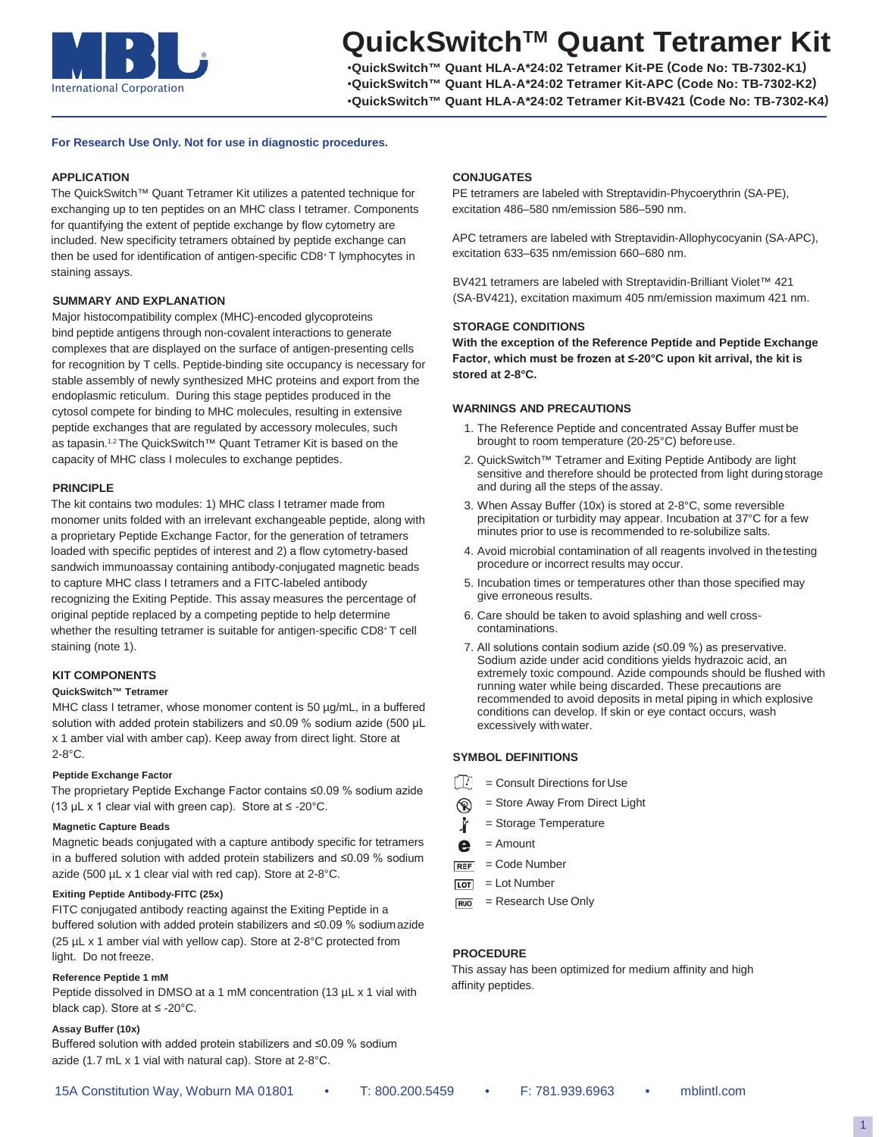

# **QuickSwitch™ Quant Tetramer Kit**

•**QuickSwitch™ Quant HLA-A\*24:02 Tetramer Kit-PE (Code No: TB-7302-K1)** •**QuickSwitch™ Quant HLA-A\*24:02 Tetramer Kit-APC (Code No: TB-7302-K2)** •**QuickSwitch™ Quant HLA-A\*24:02 Tetramer Kit-BV421 (Code No: TB-7302-K4)**

### **For Research Use Only. Not for use in diagnostic procedures.**

#### **APPLICATION**

The QuickSwitch™ Quant Tetramer Kit utilizes a patented technique for exchanging up to ten peptides on an MHC class I tetramer. Components for quantifying the extent of peptide exchange by flow cytometry are included. New specificity tetramers obtained by peptide exchange can then be used for identification of antigen-specific CD8+T lymphocytes in staining assays.

#### **SUMMARY AND EXPLANATION**

Major histocompatibility complex (MHC)-encoded glycoproteins bind peptide antigens through non-covalent interactions to generate complexes that are displayed on the surface of antigen-presenting cells for recognition by T cells. Peptide-binding site occupancy is necessary for stable assembly of newly synthesized MHC proteins and export from the endoplasmic reticulum. During this stage peptides produced in the cytosol compete for binding to MHC molecules, resulting in extensive peptide exchanges that are regulated by accessory molecules, such as tapasin.1,2 The QuickSwitch™ Quant Tetramer Kit is based on the capacity of MHC class I molecules to exchange peptides.

#### **PRINCIPLE**

The kit contains two modules: 1) MHC class I tetramer made from monomer units folded with an irrelevant exchangeable peptide, along with a proprietary Peptide Exchange Factor, for the generation of tetramers loaded with specific peptides of interest and 2) a flow cytometry-based sandwich immunoassay containing antibody-conjugated magnetic beads to capture MHC class I tetramers and a FITC-labeled antibody recognizing the Exiting Peptide. This assay measures the percentage of original peptide replaced by a competing peptide to help determine whether the resulting tetramer is suitable for antigen-specific CD8+T cell staining (note 1).

# **KIT COMPONENTS**

#### **QuickSwitch™ Tetramer**

MHC class I tetramer, whose monomer content is 50  $\mu$ g/mL, in a buffered solution with added protein stabilizers and ≤0.09 % sodium azide (500 µL x 1 amber vial with amber cap). Keep away from direct light. Store at 2-8°C.

#### **Peptide Exchange Factor**

The proprietary Peptide Exchange Factor contains ≤0.09 % sodium azide (13 µL x 1 clear vial with green cap). Store at  $\leq$  -20°C.

#### **Magnetic Capture Beads**

Magnetic beads conjugated with a capture antibody specific for tetramers in a buffered solution with added protein stabilizers and ≤0.09 % sodium azide (500 µL x 1 clear vial with red cap). Store at 2-8°C.

#### **Exiting Peptide Antibody-FITC (25x)**

FITC conjugated antibody reacting against the Exiting Peptide in a buffered solution with added protein stabilizers and ≤0.09 % sodiumazide (25 µL x 1 amber vial with yellow cap). Store at 2-8°C protected from light. Do not freeze.

#### **Reference Peptide 1 mM**

Peptide dissolved in DMSO at a 1 mM concentration (13 µL x 1 vial with black cap). Store at ≤ -20°C.

#### **Assay Buffer (10x)**

Buffered solution with added protein stabilizers and ≤0.09 % sodium azide (1.7 mL x 1 vial with natural cap). Store at 2-8°C.

#### **CONJUGATES**

PE tetramers are labeled with Streptavidin-Phycoerythrin (SA-PE), excitation 486–580 nm/emission 586–590 nm.

APC tetramers are labeled with Streptavidin-Allophycocyanin (SA-APC), excitation 633–635 nm/emission 660–680 nm.

BV421 tetramers are labeled with Streptavidin-Brilliant Violet™ 421 (SA-BV421), excitation maximum 405 nm/emission maximum 421 nm.

#### **STORAGE CONDITIONS**

**With the exception of the Reference Peptide and Peptide Exchange Factor, which must be frozen at ≤-20°C upon kit arrival, the kit is stored at 2-8°C.**

#### **WARNINGS AND PRECAUTIONS**

- 1. The Reference Peptide and concentrated Assay Buffer must be brought to room temperature (20-25°C) beforeuse.
- 2. QuickSwitch™ Tetramer and Exiting Peptide Antibody are light sensitive and therefore should be protected from light duringstorage and during all the steps of the assay.
- 3. When Assay Buffer (10x) is stored at 2-8°C, some reversible precipitation or turbidity may appear. Incubation at 37°C for a few minutes prior to use is recommended to re-solubilize salts.
- 4. Avoid microbial contamination of all reagents involved in thetesting procedure or incorrect results may occur.
- 5. Incubation times or temperatures other than those specified may give erroneous results.
- 6. Care should be taken to avoid splashing and well crosscontaminations.
- 7. All solutions contain sodium azide (≤0.09 %) as preservative. Sodium azide under acid conditions yields hydrazoic acid, an extremely toxic compound. Azide compounds should be flushed with running water while being discarded. These precautions are recommended to avoid deposits in metal piping in which explosive conditions can develop. If skin or eye contact occurs, wash excessively with water.

#### **SYMBOL DEFINITIONS**

- $\left[\begin{matrix} 1 \\ 1 \end{matrix}\right] =$  Consult Directions for Use
- = Store Away From Direct Light  $^{\circledR}$
- İ = Storage Temperature
- $\bullet$  = Amount
- $F = Code Number$
- $\overline{LOT}$  = Lot Number
- $F(x) =$  Research Use Only

# **PROCEDURE**

This assay has been optimized for medium affinity and high affinity peptides.

1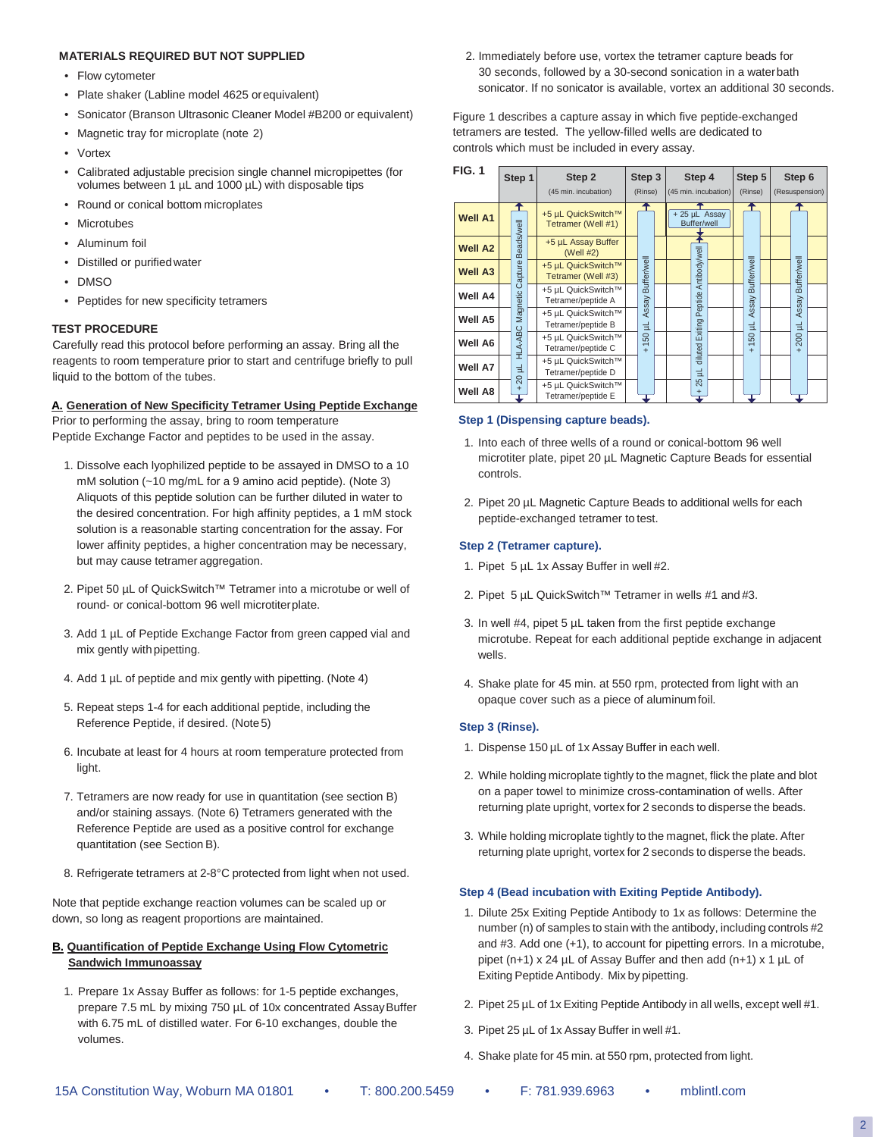#### **MATERIALS REQUIRED BUT NOT SUPPLIED**

- Flow cytometer
- Plate shaker (Labline model 4625 orequivalent)
- Sonicator (Branson Ultrasonic Cleaner Model #B200 or equivalent)
- Magnetic tray for microplate (note 2)
- Vortex
- Calibrated adjustable precision single channel micropipettes (for volumes between 1 µL and 1000 µL) with disposable tips
- Round or conical bottom microplates
- Microtubes
- Aluminum foil
- Distilled or purifiedwater
- DMSO
- Peptides for new specificity tetramers

#### **TEST PROCEDURE**

Carefully read this protocol before performing an assay. Bring all the reagents to room temperature prior to start and centrifuge briefly to pull liquid to the bottom of the tubes.

### **A. Generation of New Specificity Tetramer Using Peptide Exchange**

Prior to performing the assay, bring to room temperature Peptide Exchange Factor and peptides to be used in the assay.

- 1. Dissolve each lyophilized peptide to be assayed in DMSO to a 10 mM solution (~10 mg/mL for a 9 amino acid peptide). (Note 3) Aliquots of this peptide solution can be further diluted in water to the desired concentration. For high affinity peptides, a 1 mM stock solution is a reasonable starting concentration for the assay. For lower affinity peptides, a higher concentration may be necessary, but may cause tetramer aggregation.
- 2. Pipet 50 µL of QuickSwitch™ Tetramer into a microtube or well of round- or conical-bottom 96 well microtiterplate.
- 3. Add 1 µL of Peptide Exchange Factor from green capped vial and mix gently with pipetting.
- 4. Add 1 µL of peptide and mix gently with pipetting. (Note 4)
- 5. Repeat steps 1-4 for each additional peptide, including the Reference Peptide, if desired. (Note5)
- 6. Incubate at least for 4 hours at room temperature protected from light.
- 7. Tetramers are now ready for use in quantitation (see section B) and/or staining assays. (Note 6) Tetramers generated with the Reference Peptide are used as a positive control for exchange quantitation (see Section B).
- 8. Refrigerate tetramers at 2-8°C protected from light when not used.

Note that peptide exchange reaction volumes can be scaled up or down, so long as reagent proportions are maintained.

#### **B. Quantification of Peptide Exchange Using Flow Cytometric Sandwich Immunoassay**

1. Prepare 1x Assay Buffer as follows: for 1-5 peptide exchanges, prepare 7.5 mL by mixing 750 µL of 10x concentrated AssayBuffer with 6.75 mL of distilled water. For 6-10 exchanges, double the volumes.

2. Immediately before use, vortex the tetramer capture beads for 30 seconds, followed by a 30-second sonication in a waterbath sonicator. If no sonicator is available, vortex an additional 30 seconds.

Figure 1 describes a capture assay in which five peptide-exchanged tetramers are tested. The yellow-filled wells are dedicated to controls which must be included in every assay.

| <b>FIG. 1</b>  |  | Step 1                       | Step 2<br>(45 min. incubation)           | Step 3<br>(Rinse)                    | Step 4<br>(45 min. incubation) |  | Step 5<br>(Rinse)                                       | (Resuspension) | Step 6           |  |
|----------------|--|------------------------------|------------------------------------------|--------------------------------------|--------------------------------|--|---------------------------------------------------------|----------------|------------------|--|
| <b>Well A1</b> |  |                              | +5 µL QuickSwitch™<br>Tetramer (Well #1) |                                      | + 25 µL Assay<br>Buffer/well   |  |                                                         |                |                  |  |
| <b>Well A2</b> |  | Beads/well                   | +5 µL Assay Buffer<br>(Well #2)          |                                      |                                |  |                                                         |                |                  |  |
| <b>Well A3</b> |  | Capture                      | +5 µL QuickSwitch™<br>Tetramer (Well #3) | Buffer/well                          | Antibody/well                  |  | Buffer/well                                             |                | Buffer/well      |  |
| <b>Well A4</b> |  | Magnetic                     | +5 µL QuickSwitch™<br>Tetramer/peptide A | Assay                                | Peptide                        |  | Assay                                                   |                | Assay            |  |
| Well A5        |  |                              | +5 µL QuickSwitch™<br>Tetramer/peptide B | 닆                                    | Exiting                        |  | 긮                                                       |                | 닆                |  |
| Well A6        |  | HLA-ABC                      | +5 µL QuickSwitch™<br>Tetramer/peptide C | 8<br>$\overline{\phantom{0}}$<br>$+$ | diluted I                      |  | S <sub>0</sub><br>$\overline{\phantom{0}}$<br>$\ddot{}$ |                | 200<br>$\ddot{}$ |  |
| Well A7        |  | 글                            | +5 µL QuickSwitch™<br>Tetramer/peptide D |                                      | 날                              |  |                                                         |                |                  |  |
| Well A8        |  | $\overline{20}$<br>$\ddot{}$ | +5 µL QuickSwitch™<br>Tetramer/peptide E |                                      | 25                             |  |                                                         |                |                  |  |

#### **Step 1 (Dispensing capture beads).**

- 1. Into each of three wells of a round or conical-bottom 96 well microtiter plate, pipet 20 µL Magnetic Capture Beads for essential controls.
- 2. Pipet 20 µL Magnetic Capture Beads to additional wells for each peptide-exchanged tetramer to test.

#### **Step 2 (Tetramer capture).**

- 1. Pipet 5 µL 1x Assay Buffer in well #2.
- 2. Pipet 5 µL QuickSwitch™ Tetramer in wells #1 and #3.
- 3. In well #4, pipet 5 µL taken from the first peptide exchange microtube. Repeat for each additional peptide exchange in adjacent wells.
- 4. Shake plate for 45 min. at 550 rpm, protected from light with an opaque cover such as a piece of aluminumfoil.

#### **Step 3 (Rinse).**

- 1. Dispense 150 µL of 1x Assay Buffer in each well.
- 2. While holding microplate tightly to the magnet, flick the plate and blot on a paper towel to minimize cross-contamination of wells. After returning plate upright, vortex for 2 seconds to disperse the beads.
- 3. While holding microplate tightly to the magnet, flick the plate. After returning plate upright, vortex for 2 seconds to disperse the beads.

#### **Step 4 (Bead incubation with Exiting Peptide Antibody).**

- 1. Dilute 25x Exiting Peptide Antibody to 1x as follows: Determine the number (n) of samples to stain with the antibody, including controls #2 and #3. Add one (+1), to account for pipetting errors. In a microtube, pipet (n+1) x 24 µL of Assay Buffer and then add (n+1) x 1 µL of Exiting Peptide Antibody. Mix by pipetting.
- 2. Pipet 25 µL of 1x Exiting Peptide Antibody in all wells, except well #1.
- 3. Pipet 25 µL of 1x Assay Buffer in well #1.
- 4. Shake plate for 45 min. at 550 rpm, protected from light.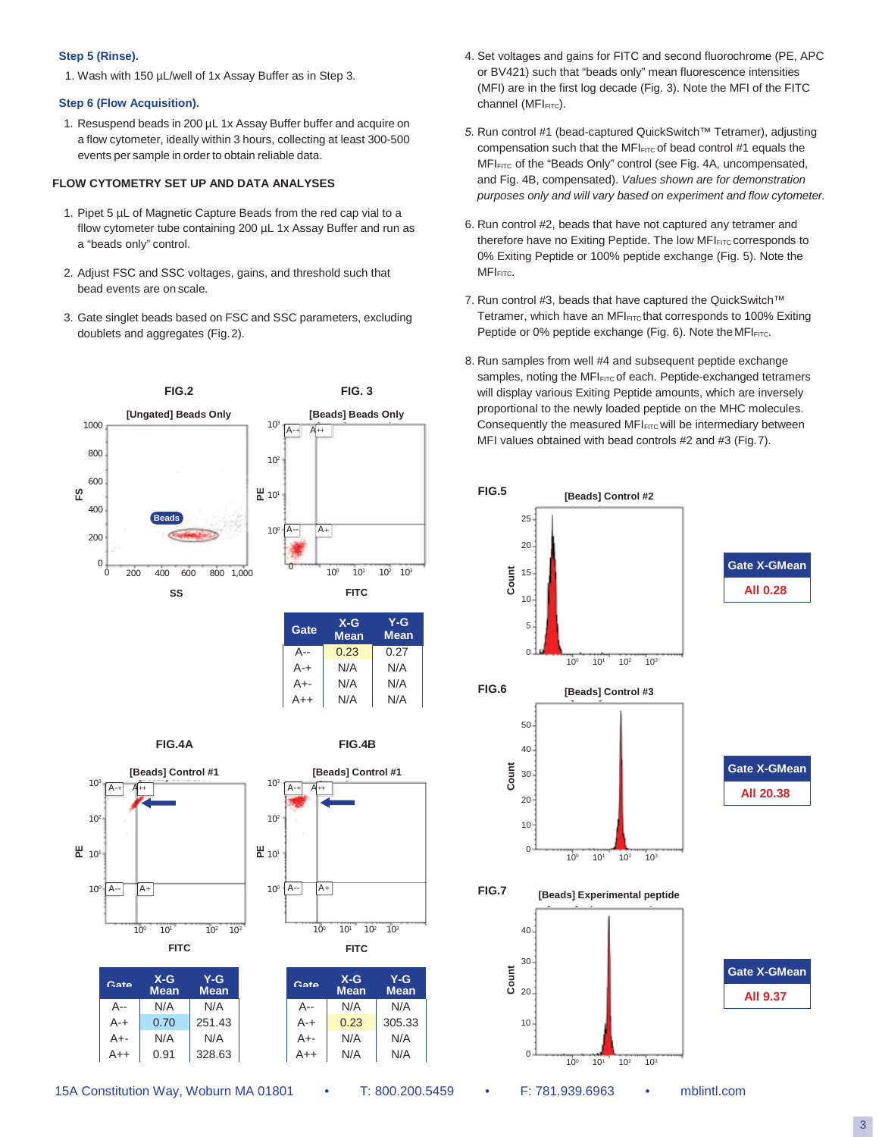#### **Step 5 (Rinse).**

1. Wash with 150 µL/well of 1x Assay Buffer as in Step 3.

# **Step 6 (Flow Acquisition).**

1. Resuspend beads in 200 µL 1x Assay Buffer buffer and acquire on a flow cytometer, ideally within 3 hours, collecting at least 300-500 events per sample in order to obtain reliable data.

# **FLOW CYTOMETRY SET UP AND DATA ANALYSES**

- 1. Pipet 5 µL of Magnetic Capture Beads from the red cap vial to a fllow cytometer tube containing 200 µL 1x Assay Buffer and run as a "beads only" control.
- 2. Adjust FSC and SSC voltages, gains, and threshold such that bead events are on scale.
- 3. Gate singlet beads based on FSC and SSC parameters, excluding doublets and aggregates (Fig.2).



| Gate    | $X-G$<br><b>Mean</b> | Y-G<br><b>Mean</b> |
|---------|----------------------|--------------------|
| A--     | 0.23                 | 0.27               |
| $A - +$ | N/A                  | N/A                |
| $A++$   | N/A                  | N/A                |
| $A++$   | N/A                  | N/A                |
|         |                      |                    |

**FIG.4A**

**FIG.4B**









- 4. Set voltages and gains for FITC and second fluorochrome (PE, APC or BV421) such that "beads only" mean fluorescence intensities (MFI) are in the first log decade (Fig. 3). Note the MFI of the FITC channel (MFIFITC).
- *5.* Run control #1 (bead-captured QuickSwitch™ Tetramer), adjusting compensation such that the MFI $_{FITC}$  of bead control #1 equals the MFIFITC of the "Beads Only" control (see Fig. 4A, uncompensated, and Fig. 4B, compensated). *Values shown are for demonstration purposes only and will vary based on experiment and flow cytometer.*
- 6. Run control #2, beads that have not captured any tetramer and therefore have no Exiting Peptide. The low MFI<sub>FITC</sub> corresponds to 0% Exiting Peptide or 100% peptide exchange (Fig. 5). Note the MFI<sub>FITC</sub>.
- 7. Run control #3, beads that have captured the QuickSwitch™ Tetramer, which have an MFI<sub>FITC</sub> that corresponds to 100% Exiting Peptide or 0% peptide exchange (Fig. 6). Note the MFIFITC.
- 8. Run samples from well #4 and subsequent peptide exchange samples, noting the MFI<sub>FITC</sub> of each. Peptide-exchanged tetramers will display various Exiting Peptide amounts, which are inversely proportional to the newly loaded peptide on the MHC molecules. Consequently the measured MFI<sub>FITC</sub> will be intermediary between MFI values obtained with bead controls #2 and #3 (Fig.7).

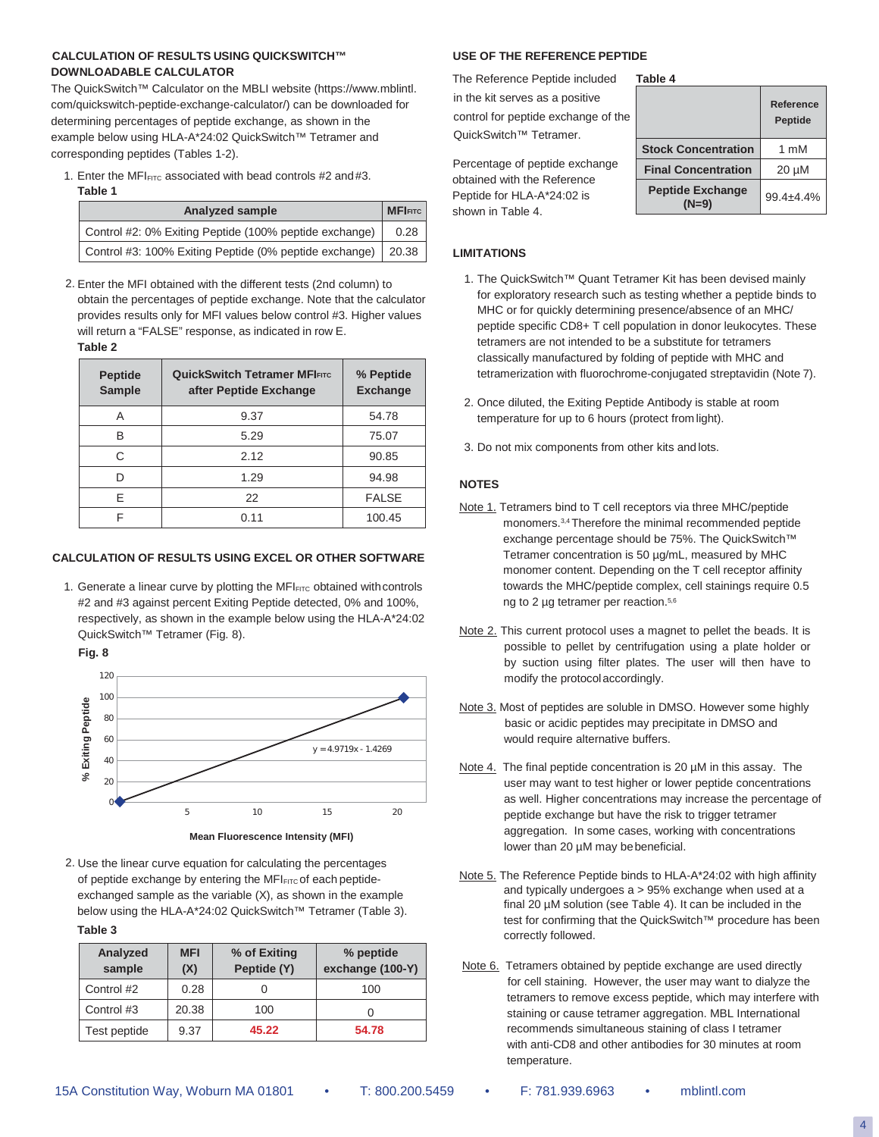# **CALCULATION OF RESULTS USING QUICKSWITCH™ USE OF THE REFERENCE PEPTIDE DOWNLOADABLE CALCULATOR**

The QuickSwitch™ Calculator on the MBLI website (https://www.mblintl. com/quickswitch-peptide-exchange-calculator/) can be downloaded for determining percentages of peptide exchange, as shown in the example below using HLA-A\*24:02 QuickSwitch™ Tetramer and corresponding peptides (Tables 1-2).

1. Enter the MFI $_{FITC}$  associated with bead controls #2 and #3. **Table 1**

| Analyzed sample                                                |      |  |  |  |  |
|----------------------------------------------------------------|------|--|--|--|--|
| Control #2: 0% Exiting Peptide (100% peptide exchange)         | 0.28 |  |  |  |  |
| Control #3: 100% Exiting Peptide (0% peptide exchange)   20.38 |      |  |  |  |  |

2. Enter the MFI obtained with the different tests (2nd column) to obtain the percentages of peptide exchange. Note that the calculator provides results only for MFI values below control #3. Higher values will return a "FALSE" response, as indicated in row E. **Table 2**

| <b>Peptide</b><br><b>Sample</b> | <b>QuickSwitch Tetramer MFIFITC</b><br>after Peptide Exchange | % Peptide<br><b>Exchange</b> |
|---------------------------------|---------------------------------------------------------------|------------------------------|
| Α                               | 9.37                                                          | 54.78                        |
| B                               | 5.29                                                          | 75.07                        |
| C                               | 2.12                                                          | 90.85                        |
| D                               | 1.29                                                          | 94.98                        |
| F                               | 22                                                            | <b>FALSE</b>                 |
| F                               | 0.11                                                          | 100.45                       |

#### **CALCULATION OF RESULTS USING EXCEL OR OTHER SOFTWARE**

1. Generate a linear curve by plotting the MFI<sub>FITC</sub> obtained with controls #2 and #3 against percent Exiting Peptide detected, 0% and 100%, respectively, as shown in the example below using the HLA-A\*24:02 QuickSwitch™ Tetramer (Fig. 8).

**Fig. 8**





2. Use the linear curve equation for calculating the percentages of peptide exchange by entering the  $MFI_{FITC}$  of each peptideexchanged sample as the variable (X), as shown in the example below using the HLA-A\*24:02 QuickSwitch™ Tetramer (Table 3).

**Table 3**

| Analyzed<br>sample | <b>MFI</b><br>(X) | % of Exiting<br>Peptide (Y) | % peptide<br>exchange (100-Y) |
|--------------------|-------------------|-----------------------------|-------------------------------|
| Control #2         | 0.28              |                             | 100                           |
| Control #3         | 20.38             | 100                         |                               |
| Test peptide       | 9.37              | 45.22                       | 54.78                         |

The Reference Peptide included in the kit serves as a positive control for peptide exchange of the QuickSwitch<sup>™</sup> Tetramer. **Table 4**

| Table 4                    |                             |  |  |  |  |  |
|----------------------------|-----------------------------|--|--|--|--|--|
|                            | Reference<br><b>Peptide</b> |  |  |  |  |  |
| <b>Stock Concentration</b> | 1 mM                        |  |  |  |  |  |
| <b>Final Concentration</b> | $20 \mu M$                  |  |  |  |  |  |
| <b>Peptide Exchange</b>    | 99.4±4.4%                   |  |  |  |  |  |

Percentage of peptide exchange obtained with the Reference Peptide for HLA-A\*24:02 is shown in Table 4.

#### **LIMITATIONS**

- 1. The QuickSwitch™ Quant Tetramer Kit has been devised mainly for exploratory research such as testing whether a peptide binds to MHC or for quickly determining presence/absence of an MHC/ peptide specific CD8+ T cell population in donor leukocytes. These tetramers are not intended to be a substitute for tetramers classically manufactured by folding of peptide with MHC and tetramerization with fluorochrome-conjugated streptavidin (Note 7).
- 2. Once diluted, the Exiting Peptide Antibody is stable at room temperature for up to 6 hours (protect from light).
- 3. Do not mix components from other kits and lots.

#### **NOTES**

- Note 1. Tetramers bind to T cell receptors via three MHC/peptide monomers.3,4 Therefore the minimal recommended peptide exchange percentage should be 75%. The QuickSwitch™ Tetramer concentration is 50 µg/mL, measured by MHC monomer content. Depending on the T cell receptor affinity towards the MHC/peptide complex, cell stainings require 0.5 ng to 2 µg tetramer per reaction.<sup>5,6</sup>
- Note 2. This current protocol uses a magnet to pellet the beads. It is possible to pellet by centrifugation using a plate holder or by suction using filter plates. The user will then have to modify the protocolaccordingly.
- Note 3. Most of peptides are soluble in DMSO. However some highly basic or acidic peptides may precipitate in DMSO and would require alternative buffers.
- Note 4. The final peptide concentration is 20  $\mu$ M in this assay. The user may want to test higher or lower peptide concentrations as well. Higher concentrations may increase the percentage of peptide exchange but have the risk to trigger tetramer aggregation. In some cases, working with concentrations lower than 20 µM may bebeneficial.
- Note 5. The Reference Peptide binds to HLA-A\*24:02 with high affinity and typically undergoes a > 95% exchange when used at a final 20 µM solution (see Table 4). It can be included in the test for confirming that the QuickSwitch™ procedure has been correctly followed.
- Note 6. Tetramers obtained by peptide exchange are used directly for cell staining. However, the user may want to dialyze the tetramers to remove excess peptide, which may interfere with staining or cause tetramer aggregation. MBL International recommends simultaneous staining of class I tetramer with anti-CD8 and other antibodies for 30 minutes at room temperature.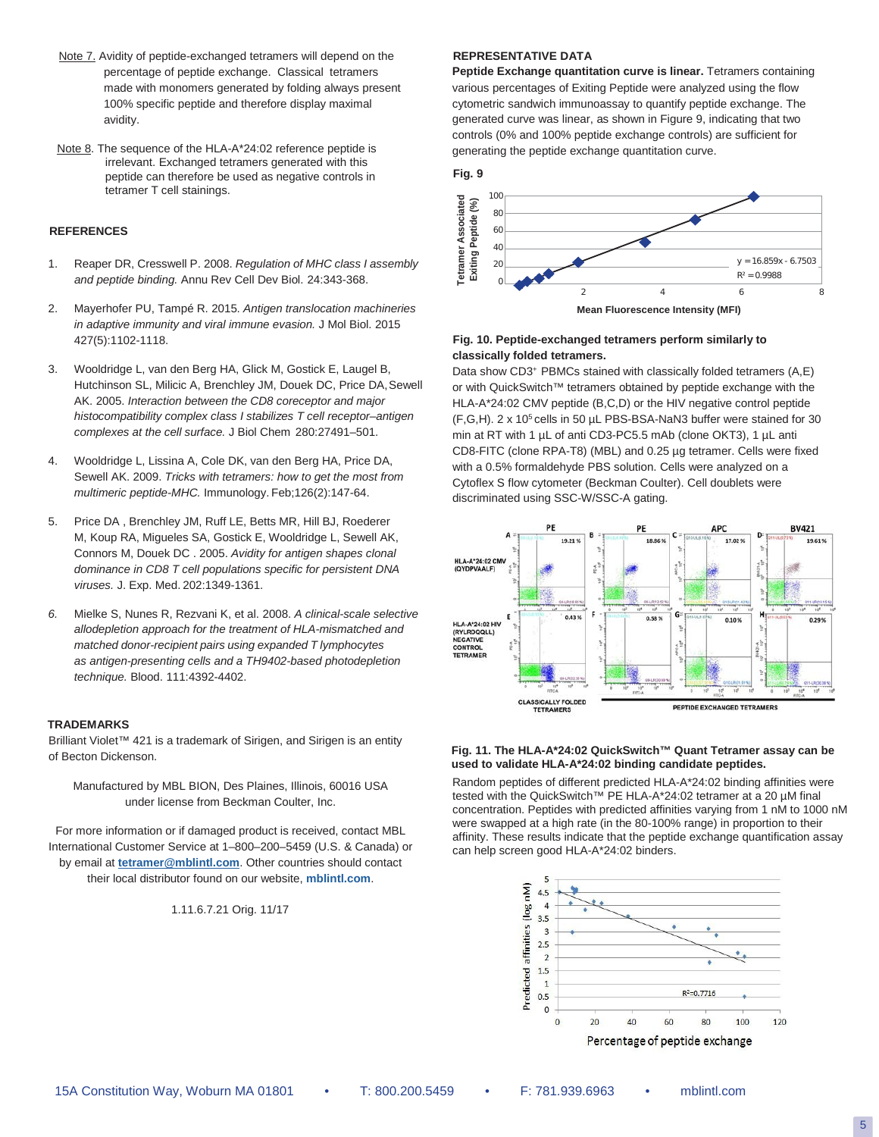- Note 7. Avidity of peptide-exchanged tetramers will depend on the percentage of peptide exchange. Classical tetramers made with monomers generated by folding always present 100% specific peptide and therefore display maximal avidity.
- Note 8. The sequence of the HLA-A\*24:02 reference peptide is irrelevant. Exchanged tetramers generated with this peptide can therefore be used as negative controls in tetramer T cell stainings.

#### **REFERENCES**

- 1. Reaper DR, Cresswell P. 2008. *Regulation of MHC class I assembly and peptide binding.* Annu Rev Cell Dev Biol. 24:343-368.
- 2. Mayerhofer PU, Tampé R. 2015. *Antigen translocation machineries in adaptive immunity and viral immune evasion.* J Mol Biol. 2015 427(5):1102-1118.
- 3. Wooldridge L, van den Berg HA, Glick M, Gostick E, Laugel B, Hutchinson SL, Milicic A, Brenchley JM, Douek DC, Price DA, Sewell AK. 2005. *Interaction between the CD8 coreceptor and major histocompatibility complex class I stabilizes T cell receptor–antigen complexes at the cell surface.* J Biol Chem 280:27491–501.
- 4. Wooldridge L, Lissina A, Cole DK, van den Berg HA, Price DA, Sewell AK. 2009. *Tricks with tetramers: how to get the most from multimeric peptide-MHC.* Immunology. Feb;126(2):147-64.
- 5. Price DA , Brenchley JM, Ruff LE, Betts MR, Hill BJ, Roederer M, Koup RA, Migueles SA, Gostick E, Wooldridge L, Sewell AK, Connors M, Douek DC . 2005. *Avidity for antigen shapes clonal dominance in CD8 T cell populations specific for persistent DNA viruses.* J. Exp. Med. 202:1349-1361.
- *6.* Mielke S, Nunes R, Rezvani K, et al. 2008. *A clinical-scale selective allodepletion approach for the treatment of HLA-mismatched and matched donor-recipient pairs using expanded T lymphocytes as antigen-presenting cells and a TH9402-based photodepletion technique.* Blood. 111:4392-4402.

#### **TRADEMARKS**

Brilliant Violet™ 421 is a trademark of Sirigen, and Sirigen is an entity of Becton Dickenson.

Manufactured by MBL BION, Des Plaines, Illinois, 60016 USA under license from Beckman Coulter, Inc.

For more information or if damaged product is received, contact MBL International Customer Service at 1–800–200–5459 (U.S. & Canada) or by email at **[tetramer@mblintl.com](mailto:tetramer@mblintl.com)**. Other countries should contact their local distributor found on our website, **[mblintl.com](http://mblintl.com/)**.

1.11.6.7.21 Orig. 11/17

#### **REPRESENTATIVE DATA**

Peptide Exchange quantitation curve is linear. Tetramers containing various percentages of Exiting Peptide were analyzed using the flow cytometric sandwich immunoassay to quantify peptide exchange. The generated curve was linear, as shown in Figure 9, indicating that two controls (0% and 100% peptide exchange controls) are sufficient for generating the peptide exchange quantitation curve.





#### **Fig. 10. Peptide-exchanged tetramers perform similarly to classically folded tetramers.**

Data show CD3+ PBMCs stained with classically folded tetramers (A,E) or with QuickSwitch™ tetramers obtained by peptide exchange with the HLA-A\*24:02 CMV peptide (B,C,D) or the HIV negative control peptide (F,G,H). 2 x 105 cells in 50 µL PBS-BSA-NaN3 buffer were stained for 30 min at RT with 1 µL of anti CD3-PC5.5 mAb (clone OKT3), 1 µL anti CD8-FITC (clone RPA-T8) (MBL) and 0.25 µg tetramer. Cells were fixed with a 0.5% formaldehyde PBS solution. Cells were analyzed on a Cytoflex S flow cytometer (Beckman Coulter). Cell doublets were discriminated using SSC-W/SSC-A gating.



#### **Fig. 11. The HLA-A\*24:02 QuickSwitch™ Quant Tetramer assay can be used to validate HLA-A\*24:02 binding candidate peptides.**

Random peptides of different predicted HLA-A\*24:02 binding affinities were tested with the QuickSwitch™ PE HLA-A\*24:02 tetramer at a 20 µM final concentration. Peptides with predicted affinities varying from 1 nM to 1000 nM were swapped at a high rate (in the 80-100% range) in proportion to their affinity. These results indicate that the peptide exchange quantification assay



5